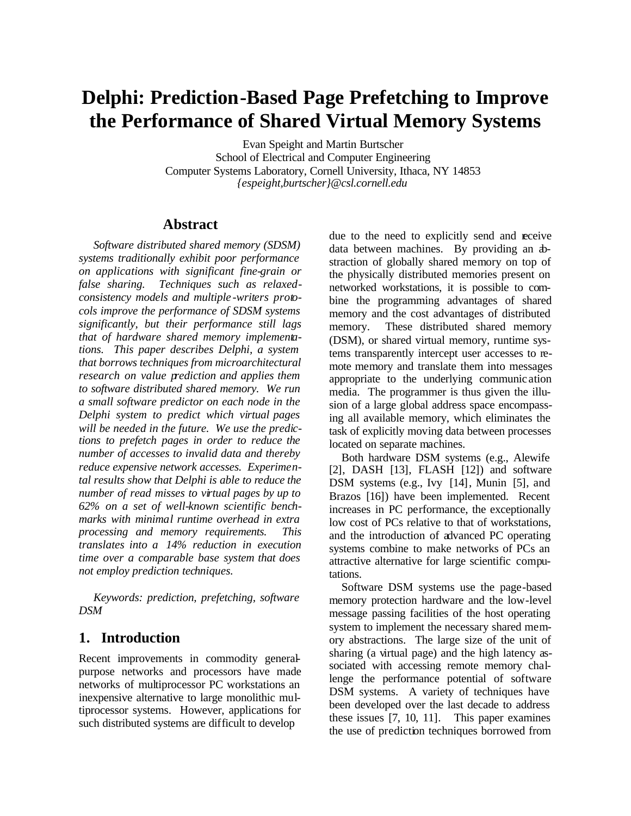# **Delphi: Prediction-Based Page Prefetching to Improve the Performance of Shared Virtual Memory Systems**

Evan Speight and Martin Burtscher School of Electrical and Computer Engineering Computer Systems Laboratory, Cornell University, Ithaca, NY 14853 *{espeight,burtscher}@csl.cornell.edu*

# **Abstract**

*Software distributed shared memory (SDSM) systems traditionally exhibit poor performance on applications with significant fine-grain or false sharing. Techniques such as relaxedconsistency models and multiple -writers protocols improve the performance of SDSM systems significantly, but their performance still lags that of hardware shared memory implementations. This paper describes Delphi, a system that borrows techniques from microarchitectural research on value prediction and applies them to software distributed shared memory. We run a small software predictor on each node in the Delphi system to predict which virtual pages will be needed in the future. We use the predictions to prefetch pages in order to reduce the number of accesses to invalid data and thereby reduce expensive network accesses. Experimental results show that Delphi is able to reduce the number of read misses to virtual pages by up to 62% on a set of well-known scientific benchmarks with minimal runtime overhead in extra processing and memory requirements. This translates into a 14% reduction in execution time over a comparable base system that does not employ prediction techniques.*

*Keywords: prediction, prefetching, software DSM*

# **1. Introduction**

Recent improvements in commodity generalpurpose networks and processors have made networks of multiprocessor PC workstations an inexpensive alternative to large monolithic multiprocessor systems. However, applications for such distributed systems are difficult to develop

due to the need to explicitly send and receive data between machines. By providing an abstraction of globally shared memory on top of the physically distributed memories present on networked workstations, it is possible to combine the programming advantages of shared memory and the cost advantages of distributed memory. These distributed shared memory (DSM), or shared virtual memory, runtime systems transparently intercept user accesses to remote memory and translate them into messages appropriate to the underlying communic ation media. The programmer is thus given the illusion of a large global address space encompassing all available memory, which eliminates the task of explicitly moving data between processes located on separate machines.

Both hardware DSM systems (e.g., Alewife [2], DASH [13], FLASH [12]) and software DSM systems (e.g., Ivy [14], Munin [5], and Brazos [16]) have been implemented. Recent increases in PC performance, the exceptionally low cost of PCs relative to that of workstations, and the introduction of advanced PC operating systems combine to make networks of PCs an attractive alternative for large scientific computations.

Software DSM systems use the page-based memory protection hardware and the low-level message passing facilities of the host operating system to implement the necessary shared memory abstractions. The large size of the unit of sharing (a virtual page) and the high latency associated with accessing remote memory challenge the performance potential of software DSM systems. A variety of techniques have been developed over the last decade to address these issues [7, 10, 11]. This paper examines the use of prediction techniques borrowed from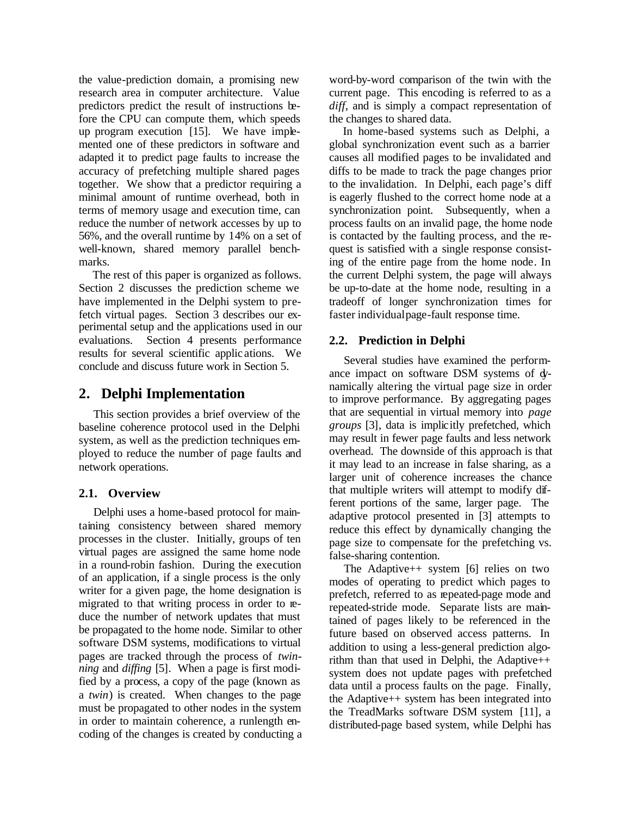the value-prediction domain, a promising new research area in computer architecture. Value predictors predict the result of instructions before the CPU can compute them, which speeds up program execution [15]. We have implemented one of these predictors in software and adapted it to predict page faults to increase the accuracy of prefetching multiple shared pages together. We show that a predictor requiring a minimal amount of runtime overhead, both in terms of memory usage and execution time, can reduce the number of network accesses by up to 56%, and the overall runtime by 14% on a set of well-known, shared memory parallel benchmarks.

The rest of this paper is organized as follows. Section 2 discusses the prediction scheme we have implemented in the Delphi system to prefetch virtual pages. Section 3 describes our experimental setup and the applications used in our evaluations. Section 4 presents performance results for several scientific applic ations. We conclude and discuss future work in Section 5.

# **2. Delphi Implementation**

This section provides a brief overview of the baseline coherence protocol used in the Delphi system, as well as the prediction techniques employed to reduce the number of page faults and network operations.

## **2.1. Overview**

Delphi uses a home-based protocol for maintaining consistency between shared memory processes in the cluster. Initially, groups of ten virtual pages are assigned the same home node in a round-robin fashion. During the execution of an application, if a single process is the only writer for a given page, the home designation is migrated to that writing process in order to reduce the number of network updates that must be propagated to the home node. Similar to other software DSM systems, modifications to virtual pages are tracked through the process of *twinning* and *diffing* [5]. When a page is first modified by a process, a copy of the page (known as a *twin*) is created. When changes to the page must be propagated to other nodes in the system in order to maintain coherence, a runlength encoding of the changes is created by conducting a

word-by-word comparison of the twin with the current page. This encoding is referred to as a *diff*, and is simply a compact representation of the changes to shared data.

In home-based systems such as Delphi, a global synchronization event such as a barrier causes all modified pages to be invalidated and diffs to be made to track the page changes prior to the invalidation. In Delphi, each page's diff is eagerly flushed to the correct home node at a synchronization point. Subsequently, when a process faults on an invalid page, the home node is contacted by the faulting process, and the request is satisfied with a single response consisting of the entire page from the home node. In the current Delphi system, the page will always be up-to-date at the home node, resulting in a tradeoff of longer synchronization times for faster individual page-fault response time.

# **2.2. Prediction in Delphi**

Several studies have examined the performance impact on software DSM systems of dynamically altering the virtual page size in order to improve performance. By aggregating pages that are sequential in virtual memory into *page groups* [3], data is implicitly prefetched, which may result in fewer page faults and less network overhead. The downside of this approach is that it may lead to an increase in false sharing, as a larger unit of coherence increases the chance that multiple writers will attempt to modify different portions of the same, larger page. The adaptive protocol presented in [3] attempts to reduce this effect by dynamically changing the page size to compensate for the prefetching vs. false-sharing contention.

The Adaptive++ system [6] relies on two modes of operating to predict which pages to prefetch, referred to as repeated-page mode and repeated-stride mode. Separate lists are maintained of pages likely to be referenced in the future based on observed access patterns. In addition to using a less-general prediction algorithm than that used in Delphi, the Adaptive++ system does not update pages with prefetched data until a process faults on the page. Finally, the Adaptive++ system has been integrated into the TreadMarks software DSM system [11], a distributed-page based system, while Delphi has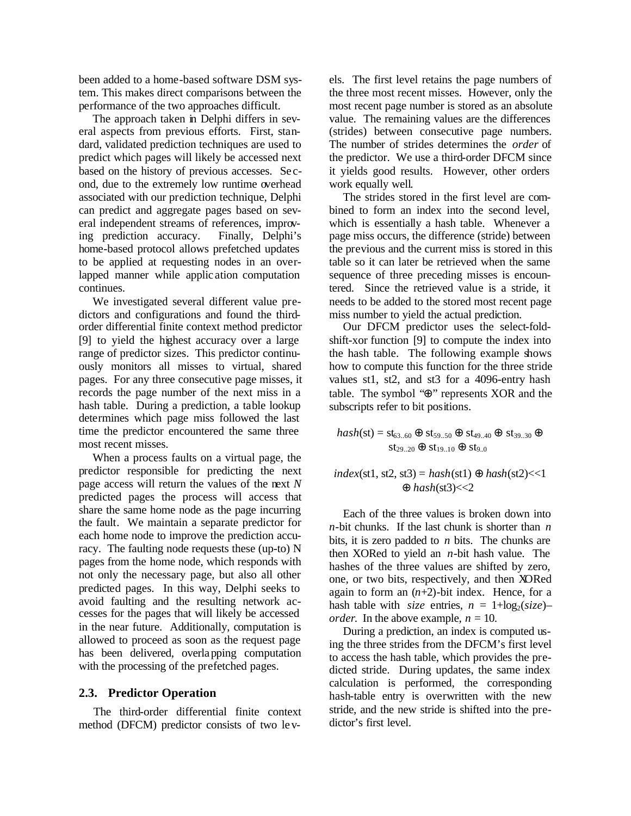been added to a home-based software DSM system. This makes direct comparisons between the performance of the two approaches difficult.

The approach taken in Delphi differs in several aspects from previous efforts. First, standard, validated prediction techniques are used to predict which pages will likely be accessed next based on the history of previous accesses. Se cond, due to the extremely low runtime overhead associated with our prediction technique, Delphi can predict and aggregate pages based on several independent streams of references, improving prediction accuracy. Finally, Delphi's home-based protocol allows prefetched updates to be applied at requesting nodes in an overlapped manner while applic ation computation continues.

We investigated several different value predictors and configurations and found the thirdorder differential finite context method predictor [9] to yield the highest accuracy over a large range of predictor sizes. This predictor continuously monitors all misses to virtual, shared pages. For any three consecutive page misses, it records the page number of the next miss in a hash table. During a prediction, a table lookup determines which page miss followed the last time the predictor encountered the same three most recent misses.

When a process faults on a virtual page, the predictor responsible for predicting the next page access will return the values of the next *N* predicted pages the process will access that share the same home node as the page incurring the fault. We maintain a separate predictor for each home node to improve the prediction accuracy. The faulting node requests these (up-to) N pages from the home node, which responds with not only the necessary page, but also all other predicted pages. In this way, Delphi seeks to avoid faulting and the resulting network accesses for the pages that will likely be accessed in the near future. Additionally, computation is allowed to proceed as soon as the request page has been delivered, overlapping computation with the processing of the prefetched pages.

#### **2.3. Predictor Operation**

The third-order differential finite context method (DFCM) predictor consists of two levels. The first level retains the page numbers of the three most recent misses. However, only the most recent page number is stored as an absolute value. The remaining values are the differences (strides) between consecutive page numbers. The number of strides determines the *order* of the predictor. We use a third-order DFCM since it yields good results. However, other orders work equally well.

The strides stored in the first level are combined to form an index into the second level, which is essentially a hash table. Whenever a page miss occurs, the difference (stride) between the previous and the current miss is stored in this table so it can later be retrieved when the same sequence of three preceding misses is encountered. Since the retrieved value is a stride, it needs to be added to the stored most recent page miss number to yield the actual prediction.

Our DFCM predictor uses the select-foldshift-xor function [9] to compute the index into the hash table. The following example shows how to compute this function for the three stride values st1, st2, and st3 for a 4096-entry hash table. The symbol "⊕" represents XOR and the subscripts refer to bit positions.

$$
hash(st) = st_{63..60} \oplus st_{59..50} \oplus st_{49..40} \oplus st_{39..30} \oplus st_{29..20} \oplus st_{19..10} \oplus st_{9..0}
$$

#### $index(st1, st2, st3) = hash(st1) \oplus hash(st2) < 1$ ⊕ *hash*(st3)<<2

Each of the three values is broken down into *n*-bit chunks. If the last chunk is shorter than *n* bits, it is zero padded to *n* bits. The chunks are then XORed to yield an *n*-bit hash value. The hashes of the three values are shifted by zero, one, or two bits, respectively, and then XORed again to form an  $(n+2)$ -bit index. Hence, for a hash table with *size* entries,  $n = 1 + \log_2( \text{size})$ *order*. In the above example,  $n = 10$ .

During a prediction, an index is computed using the three strides from the DFCM's first level to access the hash table, which provides the predicted stride. During updates, the same index calculation is performed, the corresponding hash-table entry is overwritten with the new stride, and the new stride is shifted into the predictor's first level.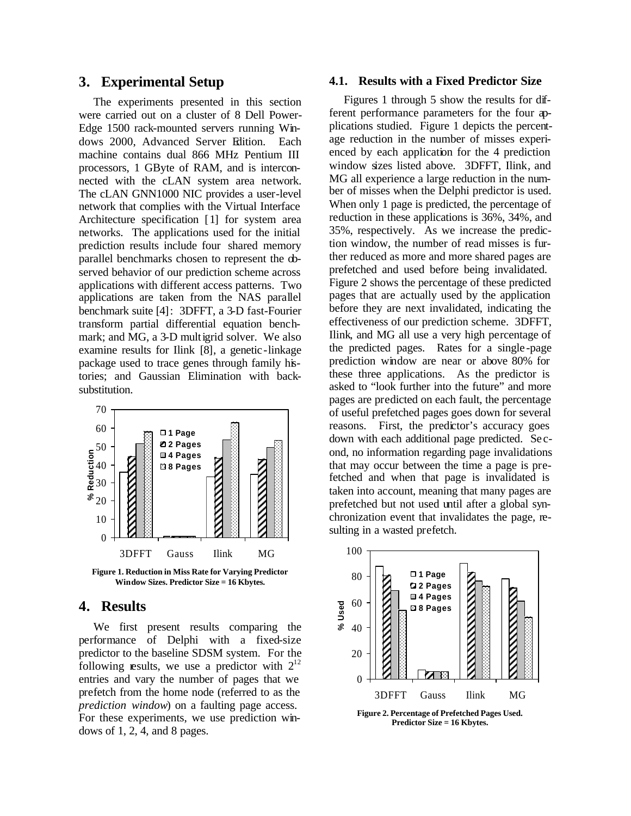#### **3. Experimental Setup**

The experiments presented in this section were carried out on a cluster of 8 Dell Power-Edge 1500 rack-mounted servers running Windows 2000, Advanced Server Edition. Each machine contains dual 866 MHz Pentium III processors, 1 GByte of RAM, and is interconnected with the cLAN system area network. The cLAN GNN1000 NIC provides a user-level network that complies with the Virtual Interface Architecture specification [1] for system area networks. The applications used for the initial prediction results include four shared memory parallel benchmarks chosen to represent the observed behavior of our prediction scheme across applications with different access patterns. Two applications are taken from the NAS parallel benchmark suite [4]: 3DFFT, a 3-D fast-Fourier transform partial differential equation benchmark; and MG, a 3-D multigrid solver. We also examine results for Ilink [8], a genetic -linkage package used to trace genes through family histories; and Gaussian Elimination with backsubstitution.



**Figure 1. Reduction in Miss Rate for Varying Predictor Window Sizes. Predictor Size = 16 Kbytes.**

### **4. Results**

We first present results comparing the performance of Delphi with a fixed-size predictor to the baseline SDSM system. For the following results, we use a predictor with  $2^{12}$ entries and vary the number of pages that we prefetch from the home node (referred to as the *prediction window*) on a faulting page access. For these experiments, we use prediction windows of 1, 2, 4, and 8 pages.

#### **4.1. Results with a Fixed Predictor Size**

Figures 1 through 5 show the results for different performance parameters for the four applications studied. Figure 1 depicts the percentage reduction in the number of misses experienced by each application for the 4 prediction window sizes listed above. 3DFFT, Ilink, and MG all experience a large reduction in the number of misses when the Delphi predictor is used. When only 1 page is predicted, the percentage of reduction in these applications is 36%, 34%, and 35%, respectively. As we increase the prediction window, the number of read misses is further reduced as more and more shared pages are prefetched and used before being invalidated. Figure 2 shows the percentage of these predicted pages that are actually used by the application before they are next invalidated, indicating the effectiveness of our prediction scheme. 3DFFT, Ilink, and MG all use a very high percentage of the predicted pages. Rates for a single -page prediction window are near or above 80% for these three applications. As the predictor is asked to "look further into the future" and more pages are predicted on each fault, the percentage of useful prefetched pages goes down for several reasons. First, the predictor's accuracy goes down with each additional page predicted. Se cond, no information regarding page invalidations that may occur between the time a page is prefetched and when that page is invalidated is taken into account, meaning that many pages are prefetched but not used until after a global synchronization event that invalidates the page, resulting in a wasted prefetch.



**Figure 2. Percentage of Prefetched Pages Used. Predictor Size = 16 Kbytes.**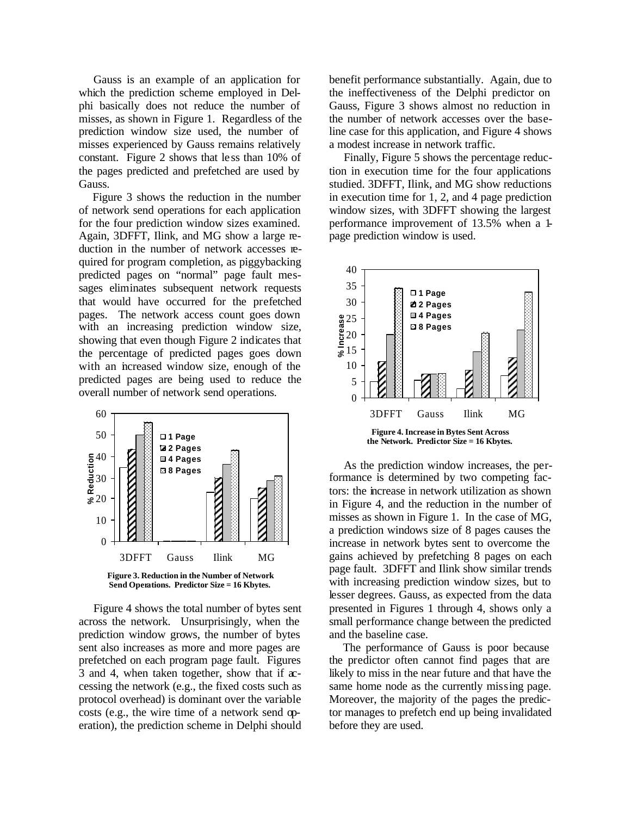Gauss is an example of an application for which the prediction scheme employed in Delphi basically does not reduce the number of misses, as shown in Figure 1. Regardless of the prediction window size used, the number of misses experienced by Gauss remains relatively constant. Figure 2 shows that le ss than 10% of the pages predicted and prefetched are used by Gauss.

Figure 3 shows the reduction in the number of network send operations for each application for the four prediction window sizes examined. Again, 3DFFT, Ilink, and MG show a large reduction in the number of network accesses required for program completion, as piggybacking predicted pages on "normal" page fault messages eliminates subsequent network requests that would have occurred for the prefetched pages. The network access count goes down with an increasing prediction window size, showing that even though Figure 2 indicates that the percentage of predicted pages goes down with an increased window size, enough of the predicted pages are being used to reduce the overall number of network send operations.



**Send Operations. Predictor Size = 16 Kbytes.**

Figure 4 shows the total number of bytes sent across the network. Unsurprisingly, when the prediction window grows, the number of bytes sent also increases as more and more pages are prefetched on each program page fault. Figures 3 and 4, when taken together, show that if accessing the network (e.g., the fixed costs such as protocol overhead) is dominant over the variable costs (e.g., the wire time of a network send operation), the prediction scheme in Delphi should

benefit performance substantially. Again, due to the ineffectiveness of the Delphi predictor on Gauss, Figure 3 shows almost no reduction in the number of network accesses over the baseline case for this application, and Figure 4 shows a modest increase in network traffic.

Finally, Figure 5 shows the percentage reduction in execution time for the four applications studied. 3DFFT, Ilink, and MG show reductions in execution time for 1, 2, and 4 page prediction window sizes, with 3DFFT showing the largest performance improvement of 13.5% when a 1 page prediction window is used.



As the prediction window increases, the performance is determined by two competing factors: the increase in network utilization as shown in Figure 4, and the reduction in the number of misses as shown in Figure 1. In the case of MG, a prediction windows size of 8 pages causes the increase in network bytes sent to overcome the gains achieved by prefetching 8 pages on each page fault. 3DFFT and Ilink show similar trends with increasing prediction window sizes, but to lesser degrees. Gauss, as expected from the data presented in Figures 1 through 4, shows only a small performance change between the predicted and the baseline case.

The performance of Gauss is poor because the predictor often cannot find pages that are likely to miss in the near future and that have the same home node as the currently missing page. Moreover, the majority of the pages the predictor manages to prefetch end up being invalidated before they are used.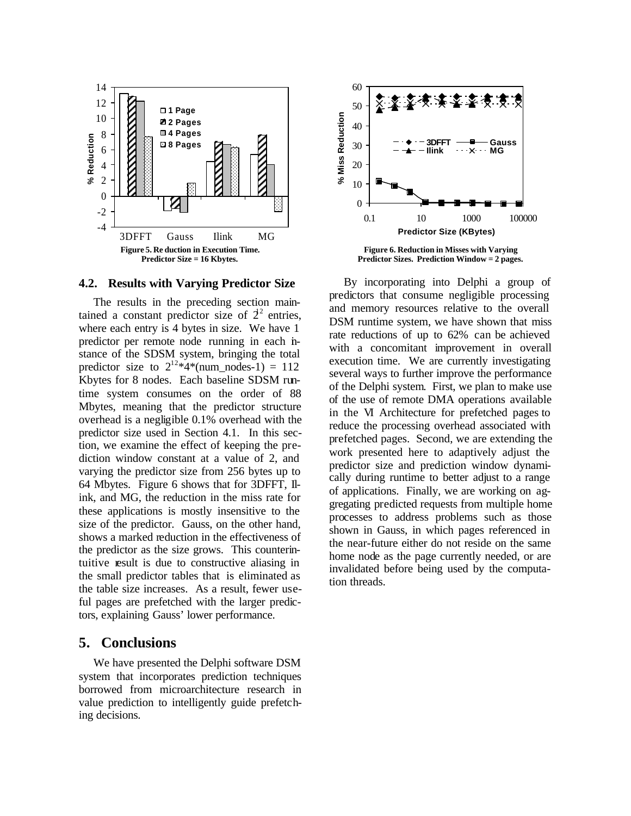

#### **4.2. Results with Varying Predictor Size**

The results in the preceding section maintained a constant predictor size of  $2^2$  entries, where each entry is 4 bytes in size. We have 1 predictor per remote node running in each instance of the SDSM system, bringing the total predictor size to  $2^{12}*4*(\text{num\_nodes-1}) = 112$ Kbytes for 8 nodes. Each baseline SDSM runtime system consumes on the order of 88 Mbytes, meaning that the predictor structure overhead is a negligible 0.1% overhead with the predictor size used in Section 4.1. In this section, we examine the effect of keeping the prediction window constant at a value of 2, and varying the predictor size from 256 bytes up to 64 Mbytes. Figure 6 shows that for 3DFFT, Ilink, and MG, the reduction in the miss rate for these applications is mostly insensitive to the size of the predictor. Gauss, on the other hand, shows a marked reduction in the effectiveness of the predictor as the size grows. This counterintuitive result is due to constructive aliasing in the small predictor tables that is eliminated as the table size increases. As a result, fewer useful pages are prefetched with the larger predictors, explaining Gauss' lower performance.

## **5. Conclusions**

We have presented the Delphi software DSM system that incorporates prediction techniques borrowed from microarchitecture research in value prediction to intelligently guide prefetching decisions.



**Figure 6. Reduction in Misses with Varying Predictor Sizes. Prediction Window = 2 pages.**

By incorporating into Delphi a group of predictors that consume negligible processing and memory resources relative to the overall DSM runtime system, we have shown that miss rate reductions of up to 62% can be achieved with a concomitant improvement in overall execution time. We are currently investigating several ways to further improve the performance of the Delphi system. First, we plan to make use of the use of remote DMA operations available in the VI Architecture for prefetched pages to reduce the processing overhead associated with prefetched pages. Second, we are extending the work presented here to adaptively adjust the predictor size and prediction window dynamically during runtime to better adjust to a range of applications. Finally, we are working on aggregating predicted requests from multiple home processes to address problems such as those shown in Gauss, in which pages referenced in the near-future either do not reside on the same home node as the page currently needed, or are invalidated before being used by the computation threads.